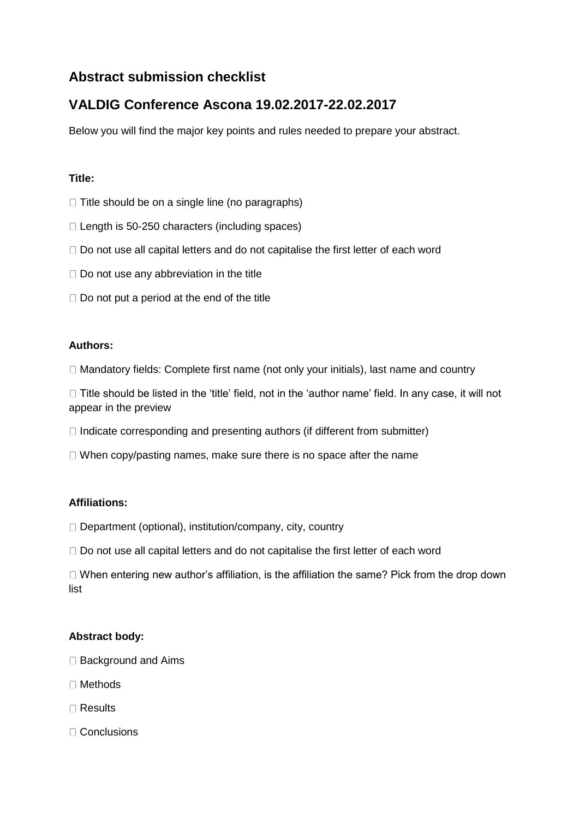# **Abstract submission checklist**

# **VALDIG Conference Ascona 19.02.2017-22.02.2017**

Below you will find the major key points and rules needed to prepare your abstract.

### **Title:**

- $\Box$  Title should be on a single line (no paragraphs)
- $\Box$  Length is 50-250 characters (including spaces)
- $\Box$  Do not use all capital letters and do not capitalise the first letter of each word
- $\Box$  Do not use any abbreviation in the title
- $\Box$  Do not put a period at the end of the title

#### **Authors:**

 $\Box$  Mandatory fields: Complete first name (not only your initials), last name and country

 $\Box$  Title should be listed in the 'title' field, not in the 'author name' field. In any case, it will not appear in the preview

- $\Box$  Indicate corresponding and presenting authors (if different from submitter)
- $\Box$  When copy/pasting names, make sure there is no space after the name

#### **Affiliations:**

- □ Department (optional), institution/company, city, country
- $\Box$  Do not use all capital letters and do not capitalise the first letter of each word

 $\Box$  When entering new author's affiliation, is the affiliation the same? Pick from the drop down list

#### **Abstract body:**

- $\Box$  Background and Aims
- □ Methods
- Results
- □ Conclusions